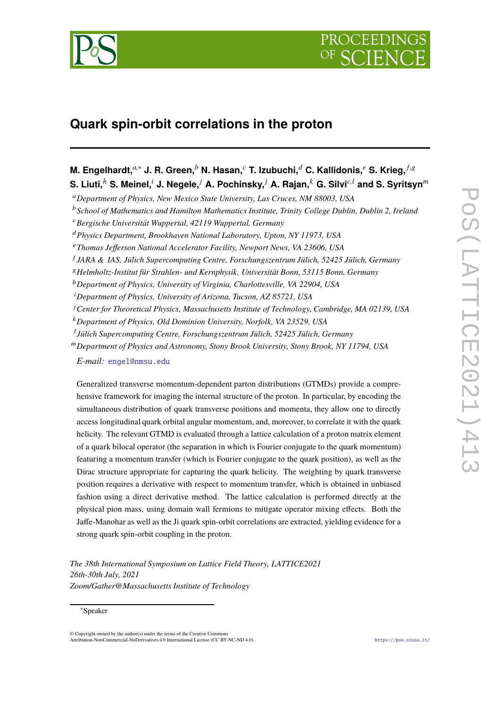

# **Quark spin-orbit correlations in the proton**

**M. Engelhardt,***a*,<sup>∗</sup> **J. R. Green,***<sup>b</sup>* **N. Hasan,***<sup>c</sup>* **T. Izubuchi,***<sup>d</sup>* **C. Kallidonis,***<sup>e</sup>* **S. Krieg,** *<sup>f</sup>*,<sup>g</sup> **S. Liuti,***<sup>h</sup>* **S. Meinel,***<sup>i</sup>* **J. Negele,***<sup>j</sup>* **A. Pochinsky,***<sup>j</sup>* **A. Rajan,***<sup>k</sup>* **G. Silvi***c*,*<sup>l</sup>* **and S. Syritsyn***<sup>m</sup>*

<sup>a</sup>*Department of Physics, New Mexico State University, Las Cruces, NM 88003, USA*

<sup>b</sup>*School of Mathematics and Hamilton Mathematics Institute, Trinity College Dublin, Dublin 2, Ireland*

Generalized transverse momentum-dependent parton distributions (GTMDs) provide a comprehensive framework for imaging the internal structure of the proton. In particular, by encoding the simultaneous distribution of quark transverse positions and momenta, they allow one to directly access longitudinal quark orbital angular momentum, and, moreover, to correlate it with the quark helicity. The relevant GTMD is evaluated through a lattice calculation of a proton matrix element of a quark bilocal operator (the separation in which is Fourier conjugate to the quark momentum) featuring a momentum transfer (which is Fourier conjugate to the quark position), as well as the Dirac structure appropriate for capturing the quark helicity. The weighting by quark transverse position requires a derivative with respect to momentum transfer, which is obtained in unbiased fashion using a direct derivative method. The lattice calculation is performed directly at the physical pion mass, using domain wall fermions to mitigate operator mixing effects. Both the Jaffe-Manohar as well as the Ji quark spin-orbit correlations are extracted, yielding evidence for a strong quark spin-orbit coupling in the proton.

*The 38th International Symposium on Lattice Field Theory, LATTICE2021 26th-30th July, 2021 Zoom/Gather@Massachusetts Institute of Technology*

<sup>c</sup>*Bergische Universität Wuppertal, 42119 Wuppertal, Germany*

<sup>d</sup>*Physics Department, Brookhaven National Laboratory, Upton, NY 11973, USA*

<sup>e</sup>*Thomas Jefferson National Accelerator Facility, Newport News, VA 23606, USA*

f *JARA & IAS, Jülich Supercomputing Centre, Forschungszentrum Jülich, 52425 Jülich, Germany*

<sup>g</sup>*Helmholtz-Institut für Strahlen- und Kernphysik, Universität Bonn, 53115 Bonn, Germany*

<sup>h</sup>*Department of Physics, University of Virginia, Charlottesville, VA 22904, USA*

<sup>i</sup>*Department of Physics, University of Arizona, Tucson, AZ 85721, USA*

<sup>j</sup>*Center for Theoretical Physics, Massachusetts Institute of Technology, Cambridge, MA 02139, USA*

<sup>k</sup>*Department of Physics, Old Dominion University, Norfolk, VA 23529, USA*

l *Jülich Supercomputing Centre, Forschungszentrum Jülich, 52425 Jülich, Germany*

<sup>m</sup>*Department of Physics and Astronomy, Stony Brook University, Stony Brook, NY 11794, USA*

*E-mail:* [engel@nmsu.edu](mailto:engel@nmsu.edu)

<sup>∗</sup>Speaker

<sup>©</sup> Copyright owned by the author(s) under the terms of the Creative Commons Attribution-NonCommercial-NoDerivatives 4.0 International License (CC BY-NC-ND 4.0). <https://pos.sissa.it/>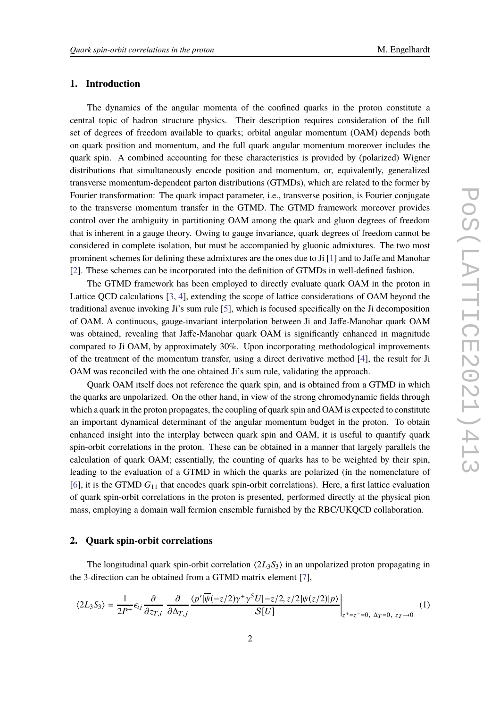## **1. Introduction**

The dynamics of the angular momenta of the confined quarks in the proton constitute a central topic of hadron structure physics. Their description requires consideration of the full set of degrees of freedom available to quarks; orbital angular momentum (OAM) depends both on quark position and momentum, and the full quark angular momentum moreover includes the quark spin. A combined accounting for these characteristics is provided by (polarized) Wigner distributions that simultaneously encode position and momentum, or, equivalently, generalized transverse momentum-dependent parton distributions (GTMDs), which are related to the former by Fourier transformation: The quark impact parameter, i.e., transverse position, is Fourier conjugate to the transverse momentum transfer in the GTMD. The GTMD framework moreover provides control over the ambiguity in partitioning OAM among the quark and gluon degrees of freedom that is inherent in a gauge theory. Owing to gauge invariance, quark degrees of freedom cannot be considered in complete isolation, but must be accompanied by gluonic admixtures. The two most prominent schemes for defining these admixtures are the ones due to Ji [\[1](#page-6-0)] and to Jaffe and Manohar [\[2](#page-6-1)]. These schemes can be incorporated into the definition of GTMDs in well-defined fashion.

The GTMD framework has been employed to directly evaluate quark OAM in the proton in Lattice QCD calculations [\[3,](#page-6-2) [4\]](#page-6-3), extending the scope of lattice considerations of OAM beyond the traditional avenue invoking Ji's sum rule [\[5\]](#page-6-4), which is focused specifically on the Ji decomposition of OAM. A continuous, gauge-invariant interpolation between Ji and Jaffe-Manohar quark OAM was obtained, revealing that Jaffe-Manohar quark OAM is significantly enhanced in magnitude compared to Ji OAM, by approximately 30%. Upon incorporating methodological improvements of the treatment of the momentum transfer, using a direct derivative method [\[4](#page-6-3)], the result for Ji OAM was reconciled with the one obtained Ji's sum rule, validating the approach.

Quark OAM itself does not reference the quark spin, and is obtained from a GTMD in which the quarks are unpolarized. On the other hand, in view of the strong chromodynamic fields through which a quark in the proton propagates, the coupling of quark spin and OAM is expected to constitute an important dynamical determinant of the angular momentum budget in the proton. To obtain enhanced insight into the interplay between quark spin and OAM, it is useful to quantify quark spin-orbit correlations in the proton. These can be obtained in a manner that largely parallels the calculation of quark OAM; essentially, the counting of quarks has to be weighted by their spin, leading to the evaluation of a GTMD in which the quarks are polarized (in the nomenclature of [\[6](#page-6-5)], it is the GTMD *G*<sup>11</sup> that encodes quark spin-orbit correlations). Here, a first lattice evaluation of quark spin-orbit correlations in the proton is presented, performed directly at the physical pion mass, employing a domain wall fermion ensemble furnished by the RBC/UKQCD collaboration.

## **2. Quark spin-orbit correlations**

The longitudinal quark spin-orbit correlation  $\langle 2L_3S_3 \rangle$  in an unpolarized proton propagating in the 3-direction can be obtained from a GTMD matrix element [\[7](#page-6-6)],

<span id="page-1-0"></span>
$$
\langle 2L_3 S_3 \rangle = \frac{1}{2P^+} \epsilon_{ij} \frac{\partial}{\partial z_{T,i}} \frac{\partial}{\partial \Delta_{T,j}} \frac{\langle p' | \overline{\psi}(-z/2) \gamma^+ \gamma^5 U[-z/2, z/2] \psi(z/2) | p \rangle}{S[U]} \Big|_{z^+ = z^- = 0, \ \Delta_T = 0, \ z_T \to 0} \tag{1}
$$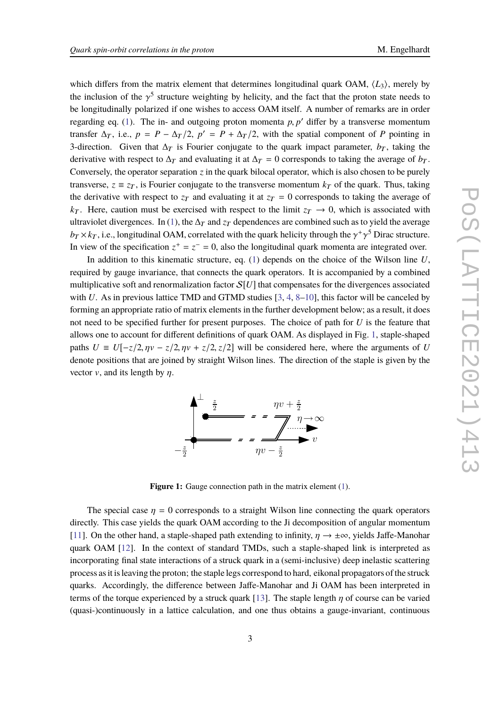which differs from the matrix element that determines longitudinal quark OAM,  $\langle L_3 \rangle$ , merely by the inclusion of the  $\gamma^5$  structure weighting by helicity, and the fact that the proton state needs to be longitudinally polarized if one wishes to access OAM itself. A number of remarks are in order regarding eq.  $(1)$ . The in- and outgoing proton momenta  $p, p'$  differ by a transverse momentum transfer  $\Delta_T$ , i.e.,  $p = P - \Delta_T/2$ ,  $p' = P + \Delta_T/2$ , with the spatial component of *P* pointing in 3-direction. Given that  $\Delta_T$  is Fourier conjugate to the quark impact parameter,  $b_T$ , taking the derivative with respect to  $\Delta_T$  and evaluating it at  $\Delta_T = 0$  corresponds to taking the average of  $b_T$ . Conversely, the operator separation *z* in the quark bilocal operator, which is also chosen to be purely transverse,  $z \equiv z_T$ , is Fourier conjugate to the transverse momentum  $k_T$  of the quark. Thus, taking the derivative with respect to  $z_T$  and evaluating it at  $z_T = 0$  corresponds to taking the average of  $k_T$ . Here, caution must be exercised with respect to the limit  $z_T \rightarrow 0$ , which is associated with ultraviolet divergences. In [\(1\)](#page-1-0), the  $\Delta_T$  and  $z_T$  dependences are combined such as to yield the average  $b_T \times k_T$ , i.e., longitudinal OAM, correlated with the quark helicity through the  $\gamma^+ \gamma^5$  Dirac structure. In view of the specification  $z^+ = z^- = 0$ , also the longitudinal quark momenta are integrated over.

In addition to this kinematic structure, eq. [\(1\)](#page-1-0) depends on the choice of the Wilson line *U*, required by gauge invariance, that connects the quark operators. It is accompanied by a combined multiplicative soft and renormalization factor  $S[U]$  that compensates for the divergences associated with *U*. As in previous lattice TMD and GTMD studies [\[3,](#page-6-2) [4](#page-6-3), [8](#page-6-7)[–10](#page-6-8)], this factor will be canceled by forming an appropriate ratio of matrix elements in the further development below; as a result, it does not need to be specified further for present purposes. The choice of path for *U* is the feature that allows one to account for different definitions of quark OAM. As displayed in Fig. [1,](#page-2-0) staple-shaped paths  $U = U[-z/2, \eta v - z/2, \eta v + z/2, z/2]$  will be considered here, where the arguments of *U* denote positions that are joined by straight Wilson lines. The direction of the staple is given by the vector  $v$ , and its length by  $\eta$ .

<span id="page-2-0"></span>

**Figure 1:** Gauge connection path in the matrix element [\(1\)](#page-1-0).

The special case  $\eta = 0$  corresponds to a straight Wilson line connecting the quark operators directly. This case yields the quark OAM according to the Ji decomposition of angular momentum [\[11\]](#page-7-0). On the other hand, a staple-shaped path extending to infinity,  $\eta \to \pm \infty$ , yields Jaffe-Manohar quark OAM [\[12](#page-7-1)]. In the context of standard TMDs, such a staple-shaped link is interpreted as incorporating final state interactions of a struck quark in a (semi-inclusive) deep inelastic scattering process as it is leaving the proton; the staple legs correspond to hard, eikonal propagators of the struck quarks. Accordingly, the difference between Jaffe-Manohar and Ji OAM has been interpreted in terms of the torque experienced by a struck quark [\[13](#page-7-2)]. The staple length  $\eta$  of course can be varied (quasi-)continuously in a lattice calculation, and one thus obtains a gauge-invariant, continuous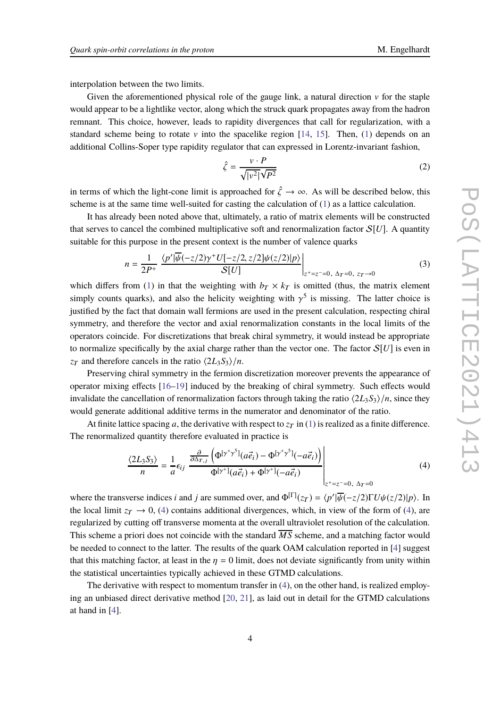interpolation between the two limits.

Given the aforementioned physical role of the gauge link, a natural direction  $\nu$  for the staple would appear to be a lightlike vector, along which the struck quark propagates away from the hadron remnant. This choice, however, leads to rapidity divergences that call for regularization, with a standard scheme being to rotate v into the spacelike region  $[14, 15]$  $[14, 15]$ . Then, [\(1\)](#page-1-0) depends on an additional Collins-Soper type rapidity regulator that can expressed in Lorentz-invariant fashion,

$$
\hat{\zeta} = \frac{v \cdot P}{\sqrt{|v^2|} \sqrt{P^2}}\tag{2}
$$

in terms of which the light-cone limit is approached for  $\hat{\zeta} \to \infty$ . As will be described below, this scheme is at the same time well-suited for casting the calculation of  $(1)$  as a lattice calculation.

It has already been noted above that, ultimately, a ratio of matrix elements will be constructed that serves to cancel the combined multiplicative soft and renormalization factor  $S[U]$ . A quantity suitable for this purpose in the present context is the number of valence quarks

$$
n = \frac{1}{2P^{+}} \frac{\langle p' | \overline{\psi}(-z/2) \gamma^{+} U[-z/2, z/2] \psi(z/2) | p \rangle}{\mathcal{S}[U]} \Big|_{z^{+}=z^{-}=0, \ \Delta_{T}=0, \ z_{T}\to 0} \tag{3}
$$

which differs from [\(1\)](#page-1-0) in that the weighting with  $b_T \times k_T$  is omitted (thus, the matrix element simply counts quarks), and also the helicity weighting with  $\gamma^5$  is missing. The latter choice is justified by the fact that domain wall fermions are used in the present calculation, respecting chiral symmetry, and therefore the vector and axial renormalization constants in the local limits of the operators coincide. For discretizations that break chiral symmetry, it would instead be appropriate to normalize specifically by the axial charge rather than the vector one. The factor  $S[U]$  is even in *z*<sub>T</sub> and therefore cancels in the ratio  $\langle 2L_3S_3 \rangle/n$ .

Preserving chiral symmetry in the fermion discretization moreover prevents the appearance of operator mixing effects [\[16](#page-7-5)[–19\]](#page-7-6) induced by the breaking of chiral symmetry. Such effects would invalidate the cancellation of renormalization factors through taking the ratio  $\langle 2L_3S_3 \rangle/n$ , since they would generate additional additive terms in the numerator and denominator of the ratio.

At finite lattice spacing *a*, the derivative with respect to  $z_T$  in [\(1\)](#page-1-0) is realized as a finite difference. The renormalized quantity therefore evaluated in practice is

<span id="page-3-0"></span>
$$
\frac{\langle 2L_3S_3 \rangle}{n} = \frac{1}{a} \epsilon_{ij} \left. \frac{\frac{\partial}{\partial \Delta_{T,j}} \left( \Phi^{[\gamma^+ \gamma^5]}(a\vec{e}_i) - \Phi^{[\gamma^+ \gamma^5]}(-a\vec{e}_i) \right)}{\Phi^{[\gamma^+]}(a\vec{e}_i) + \Phi^{[\gamma^+]}(-a\vec{e}_i)} \right|_{z^+ = z^- = 0, \ \Delta_T = 0}
$$
(4)

where the transverse indices *i* and *j* are summed over, and  $\Phi^{[\Gamma]}(z_T) = \langle p'|\overline{\psi}(-z/2)\Gamma U\psi(z/2)|p\rangle$ . In the local limit  $z_T \to 0$ , [\(4\)](#page-3-0) contains additional divergences, which, in view of the form of (4), are regularized by cutting off transverse momenta at the overall ultraviolet resolution of the calculation. This scheme a priori does not coincide with the standard  $\overline{MS}$  scheme, and a matching factor would be needed to connect to the latter. The results of the quark OAM calculation reported in [\[4\]](#page-6-3) suggest that this matching factor, at least in the  $\eta = 0$  limit, does not deviate significantly from unity within the statistical uncertainties typically achieved in these GTMD calculations.

The derivative with respect to momentum transfer in [\(4\)](#page-3-0), on the other hand, is realized employing an unbiased direct derivative method [\[20,](#page-7-7) [21](#page-7-8)], as laid out in detail for the GTMD calculations at hand in [\[4](#page-6-3)].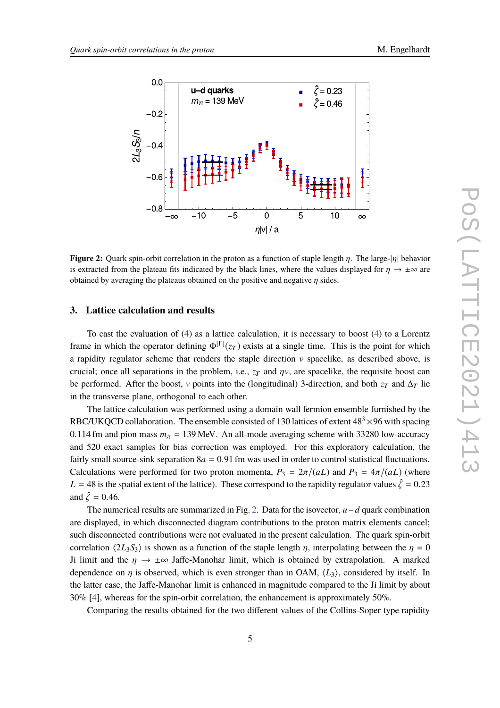<span id="page-4-0"></span>

**Figure 2:** Quark spin-orbit correlation in the proton as a function of staple length η. The large-|η| behavior is extracted from the plateau fits indicated by the black lines, where the values displayed for  $\eta \to \pm \infty$  are obtained by averaging the plateaus obtained on the positive and negative  $\eta$  sides.

#### **3. Lattice calculation and results**

To cast the evaluation of [\(4\)](#page-3-0) as a lattice calculation, it is necessary to boost [\(4\)](#page-3-0) to a Lorentz frame in which the operator defining  $\Phi^{[\Gamma]}(z_T)$  exists at a single time. This is the point for which a rapidity regulator scheme that renders the staple direction  $v$  spacelike, as described above, is crucial; once all separations in the problem, i.e.,  $z_T$  and  $\eta v$ , are spacelike, the requisite boost can be performed. After the boost, v points into the (longitudinal) 3-direction, and both  $z_T$  and  $\Delta_T$  lie in the transverse plane, orthogonal to each other.

The lattice calculation was performed using a domain wall fermion ensemble furnished by the RBC/UKQCD collaboration. The ensemble consisted of 130 lattices of extent  $48<sup>3</sup> \times 96$  with spacing 0.114 fm and pion mass  $m_{\pi} = 139$  MeV. An all-mode averaging scheme with 33280 low-accuracy and 520 exact samples for bias correction was employed. For this exploratory calculation, the fairly small source-sink separation  $8a = 0.91$  fm was used in order to control statistical fluctuations. Calculations were performed for two proton momenta,  $P_3 = 2\pi/(aL)$  and  $P_3 = 4\pi/(aL)$  (where  $L = 48$  is the spatial extent of the lattice). These correspond to the rapidity regulator values  $\hat{\zeta} = 0.23$ and  $\hat{\zeta} = 0.46$ .

The numerical results are summarized in Fig. [2.](#page-4-0) Data for the isovector, *u*−*d* quark combination are displayed, in which disconnected diagram contributions to the proton matrix elements cancel; such disconnected contributions were not evaluated in the present calculation. The quark spin-orbit correlation  $\langle 2L_3S_3 \rangle$  is shown as a function of the staple length  $\eta$ , interpolating between the  $\eta = 0$ Ji limit and the  $\eta \to \pm \infty$  Jaffe-Manohar limit, which is obtained by extrapolation. A marked dependence on  $\eta$  is observed, which is even stronger than in OAM,  $\langle L_3 \rangle$ , considered by itself. In the latter case, the Jaffe-Manohar limit is enhanced in magnitude compared to the Ji limit by about 30% [\[4](#page-6-3)], whereas for the spin-orbit correlation, the enhancement is approximately 50%.

Comparing the results obtained for the two different values of the Collins-Soper type rapidity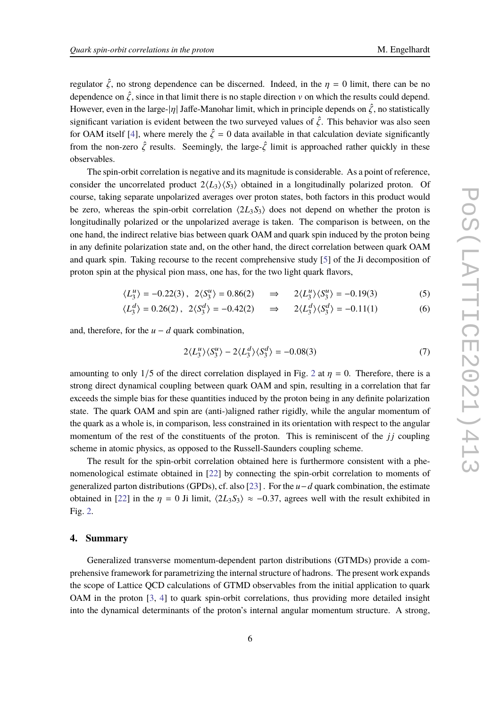regulator  $\hat{\zeta}$ , no strong dependence can be discerned. Indeed, in the  $\eta = 0$  limit, there can be no dependence on  $\hat{\zeta}$ , since in that limit there is no staple direction v on which the results could depend. However, even in the large- $|\eta|$  Jaffe-Manohar limit, which in principle depends on  $\hat{\zeta}$ , no statistically significant variation is evident between the two surveyed values of  $\hat{\zeta}$ . This behavior was also seen for OAM itself [\[4\]](#page-6-3), where merely the  $\hat{\zeta} = 0$  data available in that calculation deviate significantly from the non-zero  $\hat{\zeta}$  results. Seemingly, the large- $\hat{\zeta}$  limit is approached rather quickly in these observables.

The spin-orbit correlation is negative and its magnitude is considerable. As a point of reference, consider the uncorrelated product  $2\langle L_3 \rangle \langle S_3 \rangle$  obtained in a longitudinally polarized proton. Of course, taking separate unpolarized averages over proton states, both factors in this product would be zero, whereas the spin-orbit correlation  $\langle 2L_3S_3 \rangle$  does not depend on whether the proton is longitudinally polarized or the unpolarized average is taken. The comparison is between, on the one hand, the indirect relative bias between quark OAM and quark spin induced by the proton being in any definite polarization state and, on the other hand, the direct correlation between quark OAM and quark spin. Taking recourse to the recent comprehensive study [\[5](#page-6-4)] of the Ji decomposition of proton spin at the physical pion mass, one has, for the two light quark flavors,

$$
\langle L_3^u \rangle = -0.22(3), \ \ 2\langle S_3^u \rangle = 0.86(2) \quad \implies \quad 2\langle L_3^u \rangle \langle S_3^u \rangle = -0.19(3) \tag{5}
$$

$$
\langle L_3^d \rangle = 0.26(2), \ \ 2\langle S_3^d \rangle = -0.42(2) \quad \implies \quad 2\langle L_3^d \rangle \langle S_3^d \rangle = -0.11(1) \tag{6}
$$

and, therefore, for the  $u - d$  quark combination,

$$
2\langle L_3^u \rangle \langle S_3^u \rangle - 2\langle L_3^d \rangle \langle S_3^d \rangle = -0.08(3)
$$
 (7)

amounting to only 1/5 of the direct correlation displayed in Fig. [2](#page-4-0) at  $\eta = 0$ . Therefore, there is a strong direct dynamical coupling between quark OAM and spin, resulting in a correlation that far exceeds the simple bias for these quantities induced by the proton being in any definite polarization state. The quark OAM and spin are (anti-)aligned rather rigidly, while the angular momentum of the quark as a whole is, in comparison, less constrained in its orientation with respect to the angular momentum of the rest of the constituents of the proton. This is reminiscent of the  $j_j$  coupling scheme in atomic physics, as opposed to the Russell-Saunders coupling scheme.

The result for the spin-orbit correlation obtained here is furthermore consistent with a phenomenological estimate obtained in [\[22\]](#page-7-9) by connecting the spin-orbit correlation to moments of generalized parton distributions (GPDs), cf. also [\[23](#page-7-10)] . For the *u*−*d* quark combination, the estimate obtained in [\[22](#page-7-9)] in the  $\eta = 0$  Ji limit,  $\langle 2L_3S_3 \rangle \approx -0.37$ , agrees well with the result exhibited in Fig. [2.](#page-4-0)

## **4. Summary**

Generalized transverse momentum-dependent parton distributions (GTMDs) provide a comprehensive framework for parametrizing the internal structure of hadrons. The present work expands the scope of Lattice QCD calculations of GTMD observables from the initial application to quark OAM in the proton [\[3](#page-6-2), [4](#page-6-3)] to quark spin-orbit correlations, thus providing more detailed insight into the dynamical determinants of the proton's internal angular momentum structure. A strong,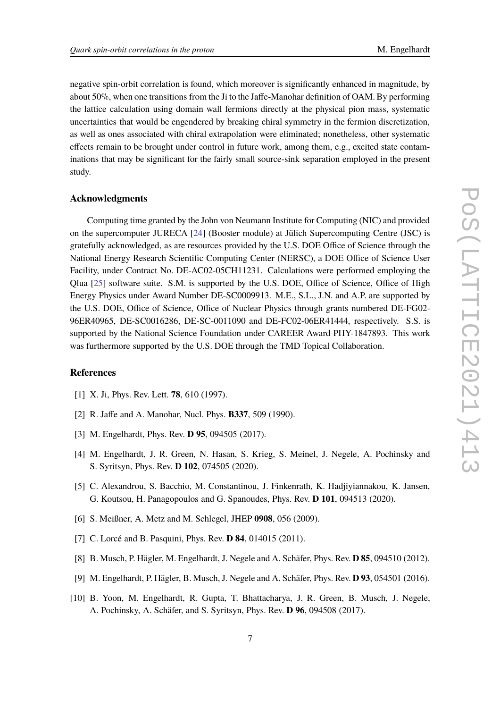negative spin-orbit correlation is found, which moreover is significantly enhanced in magnitude, by about 50%, when one transitions from the Ji to the Jaffe-Manohar definition of OAM. By performing the lattice calculation using domain wall fermions directly at the physical pion mass, systematic uncertainties that would be engendered by breaking chiral symmetry in the fermion discretization, as well as ones associated with chiral extrapolation were eliminated; nonetheless, other systematic effects remain to be brought under control in future work, among them, e.g., excited state contaminations that may be significant for the fairly small source-sink separation employed in the present study.

## **Acknowledgments**

Computing time granted by the John von Neumann Institute for Computing (NIC) and provided on the supercomputer JURECA [\[24](#page-7-11)] (Booster module) at Jülich Supercomputing Centre (JSC) is gratefully acknowledged, as are resources provided by the U.S. DOE Office of Science through the National Energy Research Scientific Computing Center (NERSC), a DOE Office of Science User Facility, under Contract No. DE-AC02-05CH11231. Calculations were performed employing the Qlua  $[25]$  software suite. S.M. is supported by the U.S. DOE, Office of Science, Office of High Energy Physics under Award Number DE-SC0009913. M.E., S.L., J.N. and A.P. are supported by the U.S. DOE, Office of Science, Office of Nuclear Physics through grants numbered DE-FG02- 96ER40965, DE-SC0016286, DE-SC-0011090 and DE-FC02-06ER41444, respectively. S.S. is supported by the National Science Foundation under CAREER Award PHY-1847893. This work was furthermore supported by the U.S. DOE through the TMD Topical Collaboration.

## **References**

- <span id="page-6-0"></span>[1] X. Ji, Phys. Rev. Lett. **78**, 610 (1997).
- <span id="page-6-1"></span>[2] R. Jaffe and A. Manohar, Nucl. Phys. **B337**, 509 (1990).
- <span id="page-6-2"></span>[3] M. Engelhardt, Phys. Rev. **D 95**, 094505 (2017).
- <span id="page-6-3"></span>[4] M. Engelhardt, J. R. Green, N. Hasan, S. Krieg, S. Meinel, J. Negele, A. Pochinsky and S. Syritsyn, Phys. Rev. **D 102**, 074505 (2020).
- <span id="page-6-4"></span>[5] C. Alexandrou, S. Bacchio, M. Constantinou, J. Finkenrath, K. Hadjiyiannakou, K. Jansen, G. Koutsou, H. Panagopoulos and G. Spanoudes, Phys. Rev. **D 101**, 094513 (2020).
- <span id="page-6-5"></span>[6] S. Meißner, A. Metz and M. Schlegel, JHEP **0908**, 056 (2009).
- <span id="page-6-6"></span>[7] C. Lorcé and B. Pasquini, Phys. Rev. **D 84**, 014015 (2011).
- <span id="page-6-7"></span>[8] B. Musch, P. Hägler, M. Engelhardt, J. Negele and A. Schäfer, Phys. Rev. **D 85**, 094510 (2012).
- [9] M. Engelhardt, P. Hägler, B. Musch, J. Negele and A. Schäfer, Phys. Rev. **D 93**, 054501 (2016).
- <span id="page-6-8"></span>[10] B. Yoon, M. Engelhardt, R. Gupta, T. Bhattacharya, J. R. Green, B. Musch, J. Negele, A. Pochinsky, A. Schäfer, and S. Syritsyn, Phys. Rev. **D 96**, 094508 (2017).